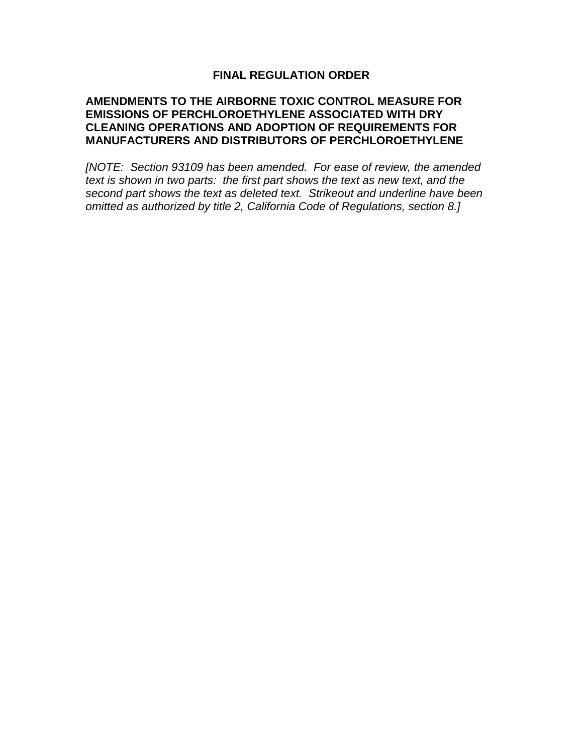### **FINAL REGULATION ORDER**

#### **AMENDMENTS TO THE AIRBORNE TOXIC CONTROL MEASURE FOR EMISSIONS OF PERCHLOROETHYLENE ASSOCIATED WITH DRY CLEANING OPERATIONS AND ADOPTION OF REQUIREMENTS FOR MANUFACTURERS AND DISTRIBUTORS OF PERCHLOROETHYLENE**

[NOTE: Section 93109 has been amended. For ease of review, the amended text is shown in two parts: the first part shows the text as new text, and the second part shows the text as deleted text. Strikeout and underline have been omitted as authorized by title 2, California Code of Regulations, section 8.]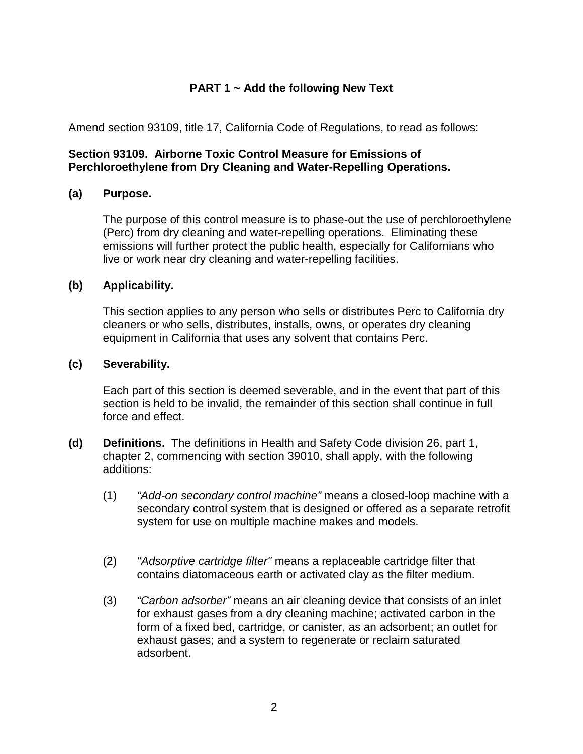## **PART 1 ~ Add the following New Text**

Amend section 93109, title 17, California Code of Regulations, to read as follows:

### **Section 93109. Airborne Toxic Control Measure for Emissions of Perchloroethylene from Dry Cleaning and Water-Repelling Operations.**

### **(a) Purpose.**

The purpose of this control measure is to phase-out the use of perchloroethylene (Perc) from dry cleaning and water-repelling operations. Eliminating these emissions will further protect the public health, especially for Californians who live or work near dry cleaning and water-repelling facilities.

#### **(b) Applicability.**

This section applies to any person who sells or distributes Perc to California dry cleaners or who sells, distributes, installs, owns, or operates dry cleaning equipment in California that uses any solvent that contains Perc.

#### **(c) Severability.**

Each part of this section is deemed severable, and in the event that part of this section is held to be invalid, the remainder of this section shall continue in full force and effect.

- **(d) Definitions.** The definitions in Health and Safety Code division 26, part 1, chapter 2, commencing with section 39010, shall apply, with the following additions:
	- (1) "Add-on secondary control machine" means a closed-loop machine with a secondary control system that is designed or offered as a separate retrofit system for use on multiple machine makes and models.
	- (2) "Adsorptive cartridge filter" means a replaceable cartridge filter that contains diatomaceous earth or activated clay as the filter medium.
	- (3) "Carbon adsorber" means an air cleaning device that consists of an inlet for exhaust gases from a dry cleaning machine; activated carbon in the form of a fixed bed, cartridge, or canister, as an adsorbent; an outlet for exhaust gases; and a system to regenerate or reclaim saturated adsorbent.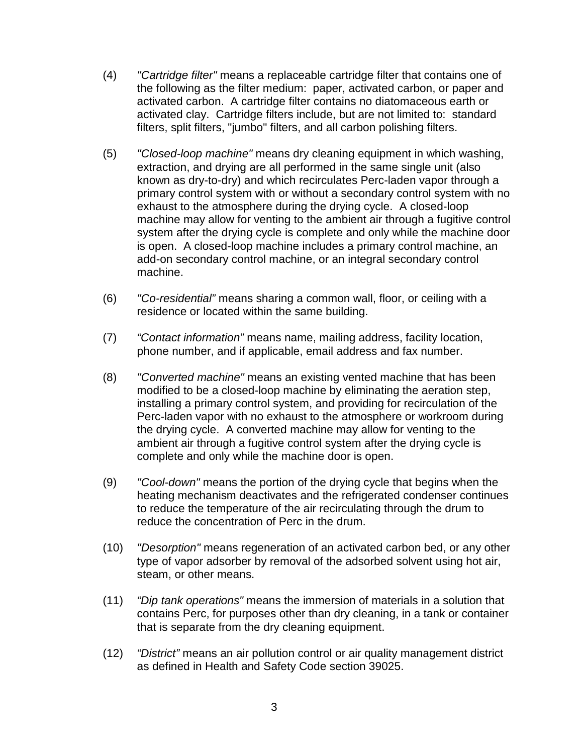- (4) "Cartridge filter" means a replaceable cartridge filter that contains one of the following as the filter medium: paper, activated carbon, or paper and activated carbon. A cartridge filter contains no diatomaceous earth or activated clay. Cartridge filters include, but are not limited to: standard filters, split filters, "jumbo" filters, and all carbon polishing filters.
- (5) "Closed-loop machine" means dry cleaning equipment in which washing, extraction, and drying are all performed in the same single unit (also known as dry-to-dry) and which recirculates Perc-laden vapor through a primary control system with or without a secondary control system with no exhaust to the atmosphere during the drying cycle. A closed-loop machine may allow for venting to the ambient air through a fugitive control system after the drying cycle is complete and only while the machine door is open. A closed-loop machine includes a primary control machine, an add-on secondary control machine, or an integral secondary control machine.
- (6) "Co-residential" means sharing a common wall, floor, or ceiling with a residence or located within the same building.
- (7) "Contact information" means name, mailing address, facility location, phone number, and if applicable, email address and fax number.
- (8) "Converted machine" means an existing vented machine that has been modified to be a closed-loop machine by eliminating the aeration step, installing a primary control system, and providing for recirculation of the Perc-laden vapor with no exhaust to the atmosphere or workroom during the drying cycle. A converted machine may allow for venting to the ambient air through a fugitive control system after the drying cycle is complete and only while the machine door is open.
- (9) "Cool-down" means the portion of the drying cycle that begins when the heating mechanism deactivates and the refrigerated condenser continues to reduce the temperature of the air recirculating through the drum to reduce the concentration of Perc in the drum.
- (10) "Desorption" means regeneration of an activated carbon bed, or any other type of vapor adsorber by removal of the adsorbed solvent using hot air, steam, or other means.
- (11) "Dip tank operations" means the immersion of materials in a solution that contains Perc, for purposes other than dry cleaning, in a tank or container that is separate from the dry cleaning equipment.
- (12) "District" means an air pollution control or air quality management district as defined in Health and Safety Code section 39025.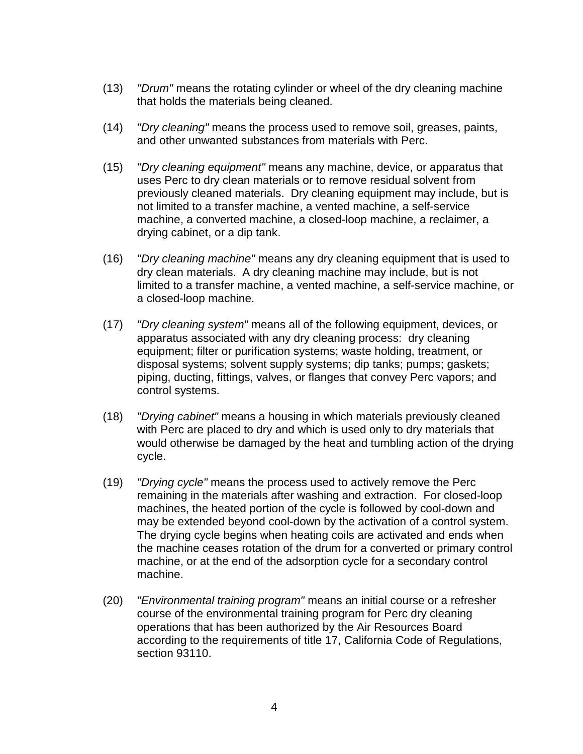- (13) "Drum" means the rotating cylinder or wheel of the dry cleaning machine that holds the materials being cleaned.
- (14) "Dry cleaning" means the process used to remove soil, greases, paints, and other unwanted substances from materials with Perc.
- (15) "Dry cleaning equipment" means any machine, device, or apparatus that uses Perc to dry clean materials or to remove residual solvent from previously cleaned materials. Dry cleaning equipment may include, but is not limited to a transfer machine, a vented machine, a self-service machine, a converted machine, a closed-loop machine, a reclaimer, a drying cabinet, or a dip tank.
- (16) "Dry cleaning machine" means any dry cleaning equipment that is used to dry clean materials. A dry cleaning machine may include, but is not limited to a transfer machine, a vented machine, a self-service machine, or a closed-loop machine.
- (17) "Dry cleaning system" means all of the following equipment, devices, or apparatus associated with any dry cleaning process: dry cleaning equipment; filter or purification systems; waste holding, treatment, or disposal systems; solvent supply systems; dip tanks; pumps; gaskets; piping, ducting, fittings, valves, or flanges that convey Perc vapors; and control systems.
- (18) "Drying cabinet" means a housing in which materials previously cleaned with Perc are placed to dry and which is used only to dry materials that would otherwise be damaged by the heat and tumbling action of the drying cycle.
- (19) "Drying cycle" means the process used to actively remove the Perc remaining in the materials after washing and extraction. For closed-loop machines, the heated portion of the cycle is followed by cool-down and may be extended beyond cool-down by the activation of a control system. The drying cycle begins when heating coils are activated and ends when the machine ceases rotation of the drum for a converted or primary control machine, or at the end of the adsorption cycle for a secondary control machine.
- (20) "Environmental training program" means an initial course or a refresher course of the environmental training program for Perc dry cleaning operations that has been authorized by the Air Resources Board according to the requirements of title 17, California Code of Regulations, section 93110.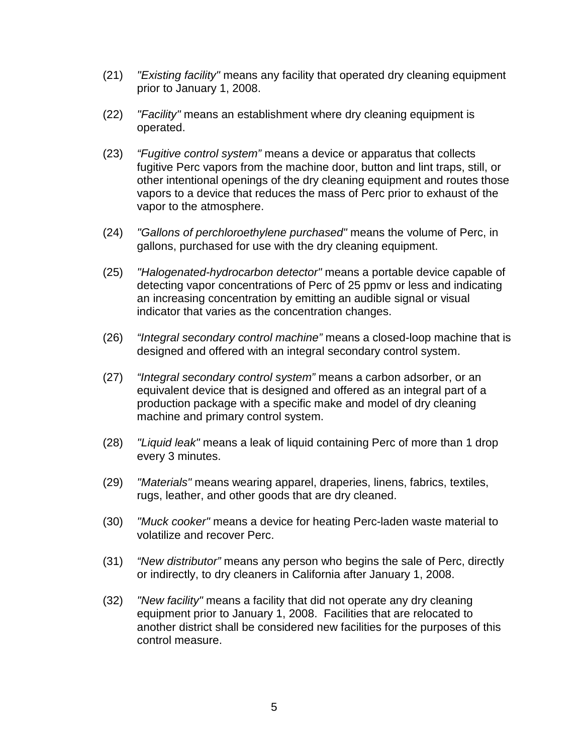- (21) "Existing facility" means any facility that operated dry cleaning equipment prior to January 1, 2008.
- (22) "Facility" means an establishment where dry cleaning equipment is operated.
- (23) "Fugitive control system" means a device or apparatus that collects fugitive Perc vapors from the machine door, button and lint traps, still, or other intentional openings of the dry cleaning equipment and routes those vapors to a device that reduces the mass of Perc prior to exhaust of the vapor to the atmosphere.
- (24) "Gallons of perchloroethylene purchased" means the volume of Perc, in gallons, purchased for use with the dry cleaning equipment.
- (25) "Halogenated-hydrocarbon detector" means a portable device capable of detecting vapor concentrations of Perc of 25 ppmv or less and indicating an increasing concentration by emitting an audible signal or visual indicator that varies as the concentration changes.
- (26) *"Integral secondary control machine"* means a closed-loop machine that is designed and offered with an integral secondary control system.
- (27) "Integral secondary control system" means a carbon adsorber, or an equivalent device that is designed and offered as an integral part of a production package with a specific make and model of dry cleaning machine and primary control system.
- (28) "Liquid leak" means a leak of liquid containing Perc of more than 1 drop every 3 minutes.
- (29) "Materials" means wearing apparel, draperies, linens, fabrics, textiles, rugs, leather, and other goods that are dry cleaned.
- (30) "Muck cooker" means a device for heating Perc-laden waste material to volatilize and recover Perc.
- (31) "New distributor" means any person who begins the sale of Perc, directly or indirectly, to dry cleaners in California after January 1, 2008.
- (32) "New facility" means a facility that did not operate any dry cleaning equipment prior to January 1, 2008. Facilities that are relocated to another district shall be considered new facilities for the purposes of this control measure.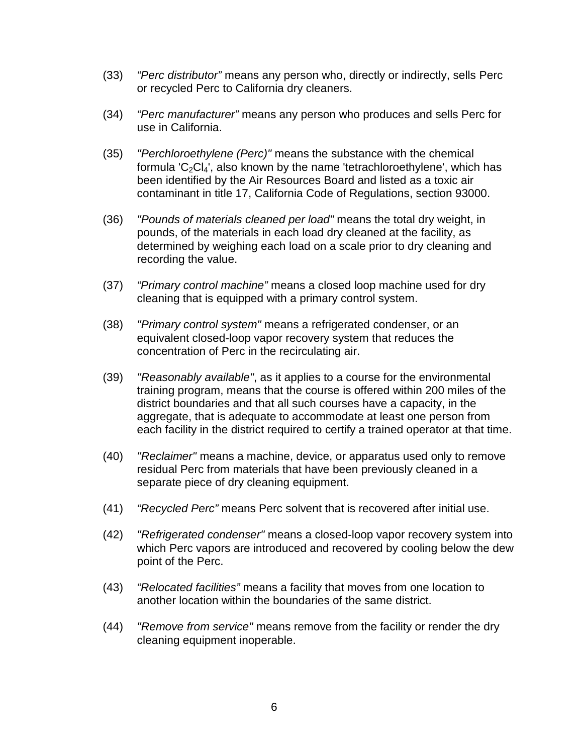- (33) "Perc distributor" means any person who, directly or indirectly, sells Perc or recycled Perc to California dry cleaners.
- (34) "Perc manufacturer" means any person who produces and sells Perc for use in California.
- (35) "Perchloroethylene (Perc)" means the substance with the chemical formula 'C<sub>2</sub>Cl<sub>4</sub>', also known by the name 'tetrachloroethylene', which has been identified by the Air Resources Board and listed as a toxic air contaminant in title 17, California Code of Regulations, section 93000.
- (36) "Pounds of materials cleaned per load" means the total dry weight, in pounds, of the materials in each load dry cleaned at the facility, as determined by weighing each load on a scale prior to dry cleaning and recording the value.
- (37) "Primary control machine" means a closed loop machine used for dry cleaning that is equipped with a primary control system.
- (38) "Primary control system" means a refrigerated condenser, or an equivalent closed-loop vapor recovery system that reduces the concentration of Perc in the recirculating air.
- (39) "Reasonably available", as it applies to a course for the environmental training program, means that the course is offered within 200 miles of the district boundaries and that all such courses have a capacity, in the aggregate, that is adequate to accommodate at least one person from each facility in the district required to certify a trained operator at that time.
- (40) "Reclaimer" means a machine, device, or apparatus used only to remove residual Perc from materials that have been previously cleaned in a separate piece of dry cleaning equipment.
- (41) "Recycled Perc" means Perc solvent that is recovered after initial use.
- (42) "Refrigerated condenser" means a closed-loop vapor recovery system into which Perc vapors are introduced and recovered by cooling below the dew point of the Perc.
- (43) "Relocated facilities" means a facility that moves from one location to another location within the boundaries of the same district.
- (44) "Remove from service" means remove from the facility or render the dry cleaning equipment inoperable.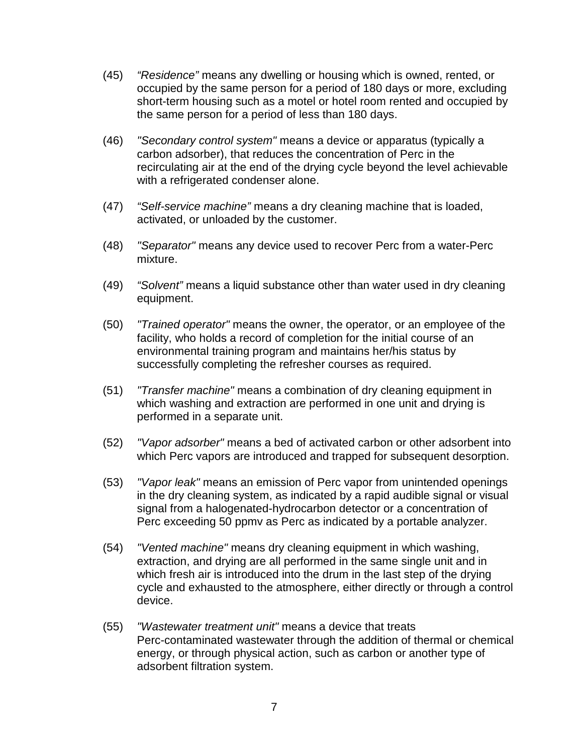- (45) "Residence" means any dwelling or housing which is owned, rented, or occupied by the same person for a period of 180 days or more, excluding short-term housing such as a motel or hotel room rented and occupied by the same person for a period of less than 180 days.
- (46) "Secondary control system" means a device or apparatus (typically a carbon adsorber), that reduces the concentration of Perc in the recirculating air at the end of the drying cycle beyond the level achievable with a refrigerated condenser alone.
- (47) "Self-service machine" means a dry cleaning machine that is loaded, activated, or unloaded by the customer.
- (48) "Separator" means any device used to recover Perc from a water-Perc mixture.
- (49) "Solvent" means a liquid substance other than water used in dry cleaning equipment.
- (50) "Trained operator" means the owner, the operator, or an employee of the facility, who holds a record of completion for the initial course of an environmental training program and maintains her/his status by successfully completing the refresher courses as required.
- (51) "Transfer machine" means a combination of dry cleaning equipment in which washing and extraction are performed in one unit and drying is performed in a separate unit.
- (52) "Vapor adsorber" means a bed of activated carbon or other adsorbent into which Perc vapors are introduced and trapped for subsequent desorption.
- (53) "Vapor leak" means an emission of Perc vapor from unintended openings in the dry cleaning system, as indicated by a rapid audible signal or visual signal from a halogenated-hydrocarbon detector or a concentration of Perc exceeding 50 ppmv as Perc as indicated by a portable analyzer.
- (54) "Vented machine" means dry cleaning equipment in which washing, extraction, and drying are all performed in the same single unit and in which fresh air is introduced into the drum in the last step of the drying cycle and exhausted to the atmosphere, either directly or through a control device.
- (55) "Wastewater treatment unit" means a device that treats Perc-contaminated wastewater through the addition of thermal or chemical energy, or through physical action, such as carbon or another type of adsorbent filtration system.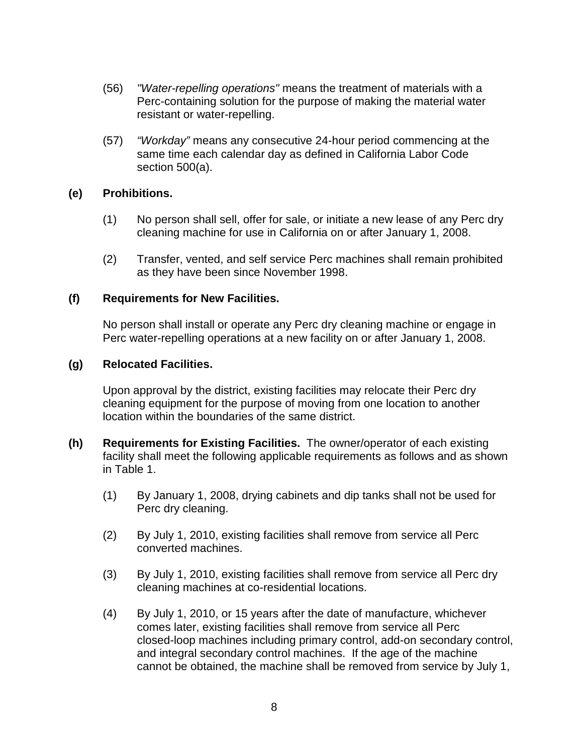- (56) "Water-repelling operations" means the treatment of materials with a Perc-containing solution for the purpose of making the material water resistant or water-repelling.
- (57) "Workday" means any consecutive 24-hour period commencing at the same time each calendar day as defined in California Labor Code section 500(a).

### **(e) Prohibitions.**

- (1) No person shall sell, offer for sale, or initiate a new lease of any Perc dry cleaning machine for use in California on or after January 1, 2008.
- (2) Transfer, vented, and self service Perc machines shall remain prohibited as they have been since November 1998.

#### **(f) Requirements for New Facilities.**

No person shall install or operate any Perc dry cleaning machine or engage in Perc water-repelling operations at a new facility on or after January 1, 2008.

#### **(g) Relocated Facilities.**

Upon approval by the district, existing facilities may relocate their Perc dry cleaning equipment for the purpose of moving from one location to another location within the boundaries of the same district.

- **(h) Requirements for Existing Facilities.** The owner/operator of each existing facility shall meet the following applicable requirements as follows and as shown in Table 1.
	- (1) By January 1, 2008, drying cabinets and dip tanks shall not be used for Perc dry cleaning.
	- (2) By July 1, 2010, existing facilities shall remove from service all Perc converted machines.
	- (3) By July 1, 2010, existing facilities shall remove from service all Perc dry cleaning machines at co-residential locations.
	- (4) By July 1, 2010, or 15 years after the date of manufacture, whichever comes later, existing facilities shall remove from service all Perc closed-loop machines including primary control, add-on secondary control, and integral secondary control machines. If the age of the machine cannot be obtained, the machine shall be removed from service by July 1,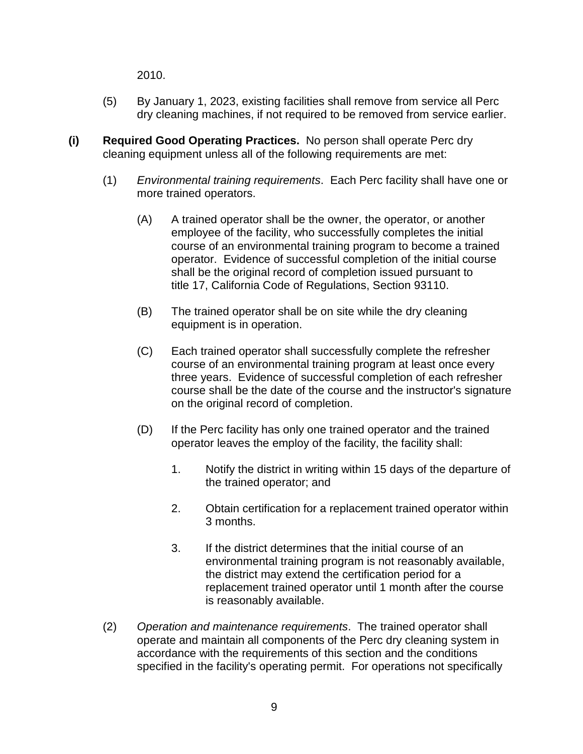2010.

- (5) By January 1, 2023, existing facilities shall remove from service all Perc dry cleaning machines, if not required to be removed from service earlier.
- **(i) Required Good Operating Practices.** No person shall operate Perc dry cleaning equipment unless all of the following requirements are met:
	- (1) Environmental training requirements. Each Perc facility shall have one or more trained operators.
		- (A) A trained operator shall be the owner, the operator, or another employee of the facility, who successfully completes the initial course of an environmental training program to become a trained operator. Evidence of successful completion of the initial course shall be the original record of completion issued pursuant to title 17, California Code of Regulations, Section 93110.
		- (B) The trained operator shall be on site while the dry cleaning equipment is in operation.
		- (C) Each trained operator shall successfully complete the refresher course of an environmental training program at least once every three years. Evidence of successful completion of each refresher course shall be the date of the course and the instructor's signature on the original record of completion.
		- (D) If the Perc facility has only one trained operator and the trained operator leaves the employ of the facility, the facility shall:
			- 1. Notify the district in writing within 15 days of the departure of the trained operator; and
			- 2. Obtain certification for a replacement trained operator within 3 months.
			- 3. If the district determines that the initial course of an environmental training program is not reasonably available, the district may extend the certification period for a replacement trained operator until 1 month after the course is reasonably available.
	- (2) Operation and maintenance requirements. The trained operator shall operate and maintain all components of the Perc dry cleaning system in accordance with the requirements of this section and the conditions specified in the facility's operating permit. For operations not specifically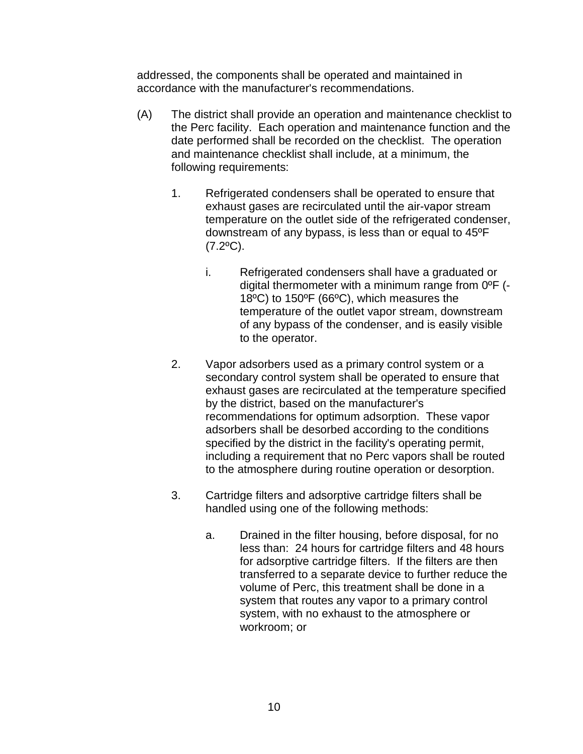addressed, the components shall be operated and maintained in accordance with the manufacturer's recommendations.

- (A) The district shall provide an operation and maintenance checklist to the Perc facility. Each operation and maintenance function and the date performed shall be recorded on the checklist. The operation and maintenance checklist shall include, at a minimum, the following requirements:
	- 1. Refrigerated condensers shall be operated to ensure that exhaust gases are recirculated until the air-vapor stream temperature on the outlet side of the refrigerated condenser, downstream of any bypass, is less than or equal to 45ºF  $(7.2$ <sup>o</sup>C).
		- i. Refrigerated condensers shall have a graduated or digital thermometer with a minimum range from 0ºF (- 18ºC) to 150ºF (66ºC), which measures the temperature of the outlet vapor stream, downstream of any bypass of the condenser, and is easily visible to the operator.
	- 2. Vapor adsorbers used as a primary control system or a secondary control system shall be operated to ensure that exhaust gases are recirculated at the temperature specified by the district, based on the manufacturer's recommendations for optimum adsorption. These vapor adsorbers shall be desorbed according to the conditions specified by the district in the facility's operating permit, including a requirement that no Perc vapors shall be routed to the atmosphere during routine operation or desorption.
	- 3. Cartridge filters and adsorptive cartridge filters shall be handled using one of the following methods:
		- a. Drained in the filter housing, before disposal, for no less than: 24 hours for cartridge filters and 48 hours for adsorptive cartridge filters. If the filters are then transferred to a separate device to further reduce the volume of Perc, this treatment shall be done in a system that routes any vapor to a primary control system, with no exhaust to the atmosphere or workroom; or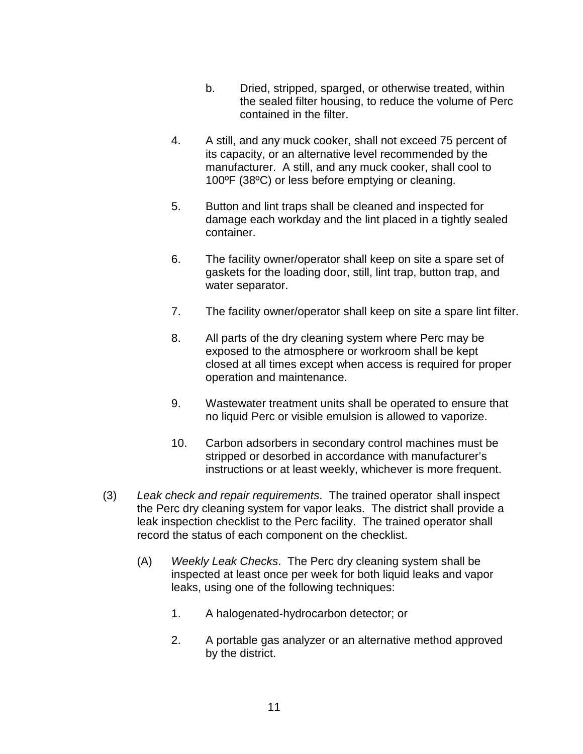- b. Dried, stripped, sparged, or otherwise treated, within the sealed filter housing, to reduce the volume of Perc contained in the filter.
- 4. A still, and any muck cooker, shall not exceed 75 percent of its capacity, or an alternative level recommended by the manufacturer. A still, and any muck cooker, shall cool to 100ºF (38ºC) or less before emptying or cleaning.
- 5. Button and lint traps shall be cleaned and inspected for damage each workday and the lint placed in a tightly sealed container.
- 6. The facility owner/operator shall keep on site a spare set of gaskets for the loading door, still, lint trap, button trap, and water separator.
- 7. The facility owner/operator shall keep on site a spare lint filter.
- 8. All parts of the dry cleaning system where Perc may be exposed to the atmosphere or workroom shall be kept closed at all times except when access is required for proper operation and maintenance.
- 9. Wastewater treatment units shall be operated to ensure that no liquid Perc or visible emulsion is allowed to vaporize.
- 10. Carbon adsorbers in secondary control machines must be stripped or desorbed in accordance with manufacturer's instructions or at least weekly, whichever is more frequent.
- (3) Leak check and repair requirements. The trained operator shall inspect the Perc dry cleaning system for vapor leaks. The district shall provide a leak inspection checklist to the Perc facility. The trained operator shall record the status of each component on the checklist.
	- (A) Weekly Leak Checks. The Perc dry cleaning system shall be inspected at least once per week for both liquid leaks and vapor leaks, using one of the following techniques:
		- 1. A halogenated-hydrocarbon detector; or
		- 2. A portable gas analyzer or an alternative method approved by the district.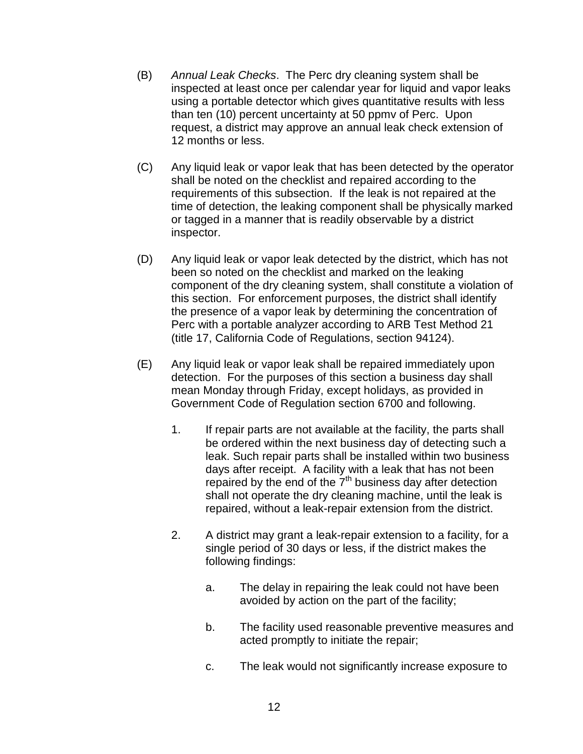- (B) Annual Leak Checks. The Perc dry cleaning system shall be inspected at least once per calendar year for liquid and vapor leaks using a portable detector which gives quantitative results with less than ten (10) percent uncertainty at 50 ppmv of Perc. Upon request, a district may approve an annual leak check extension of 12 months or less.
- (C) Any liquid leak or vapor leak that has been detected by the operator shall be noted on the checklist and repaired according to the requirements of this subsection. If the leak is not repaired at the time of detection, the leaking component shall be physically marked or tagged in a manner that is readily observable by a district inspector.
- (D) Any liquid leak or vapor leak detected by the district, which has not been so noted on the checklist and marked on the leaking component of the dry cleaning system, shall constitute a violation of this section. For enforcement purposes, the district shall identify the presence of a vapor leak by determining the concentration of Perc with a portable analyzer according to ARB Test Method 21 (title 17, California Code of Regulations, section 94124).
- (E) Any liquid leak or vapor leak shall be repaired immediately upon detection. For the purposes of this section a business day shall mean Monday through Friday, except holidays, as provided in Government Code of Regulation section 6700 and following.
	- 1. If repair parts are not available at the facility, the parts shall be ordered within the next business day of detecting such a leak. Such repair parts shall be installed within two business days after receipt. A facility with a leak that has not been repaired by the end of the  $7<sup>th</sup>$  business day after detection shall not operate the dry cleaning machine, until the leak is repaired, without a leak-repair extension from the district.
	- 2. A district may grant a leak-repair extension to a facility, for a single period of 30 days or less, if the district makes the following findings:
		- a. The delay in repairing the leak could not have been avoided by action on the part of the facility;
		- b. The facility used reasonable preventive measures and acted promptly to initiate the repair;
		- c. The leak would not significantly increase exposure to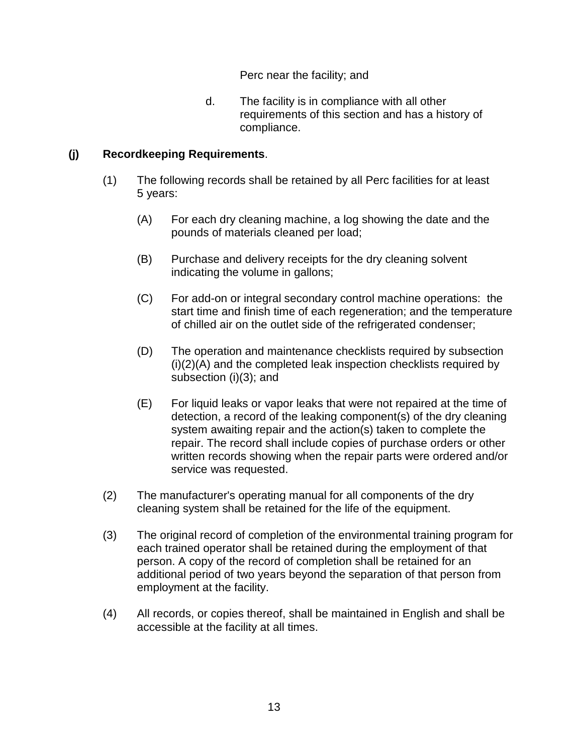Perc near the facility; and

 d. The facility is in compliance with all other requirements of this section and has a history of compliance.

### **(j) Recordkeeping Requirements**.

- (1) The following records shall be retained by all Perc facilities for at least 5 years:
	- (A) For each dry cleaning machine, a log showing the date and the pounds of materials cleaned per load;
	- (B) Purchase and delivery receipts for the dry cleaning solvent indicating the volume in gallons;
	- (C) For add-on or integral secondary control machine operations: the start time and finish time of each regeneration; and the temperature of chilled air on the outlet side of the refrigerated condenser;
	- (D) The operation and maintenance checklists required by subsection (i)(2)(A) and the completed leak inspection checklists required by subsection (i)(3); and
	- (E) For liquid leaks or vapor leaks that were not repaired at the time of detection, a record of the leaking component(s) of the dry cleaning system awaiting repair and the action(s) taken to complete the repair. The record shall include copies of purchase orders or other written records showing when the repair parts were ordered and/or service was requested.
- (2) The manufacturer's operating manual for all components of the dry cleaning system shall be retained for the life of the equipment.
- (3) The original record of completion of the environmental training program for each trained operator shall be retained during the employment of that person. A copy of the record of completion shall be retained for an additional period of two years beyond the separation of that person from employment at the facility.
- (4) All records, or copies thereof, shall be maintained in English and shall be accessible at the facility at all times.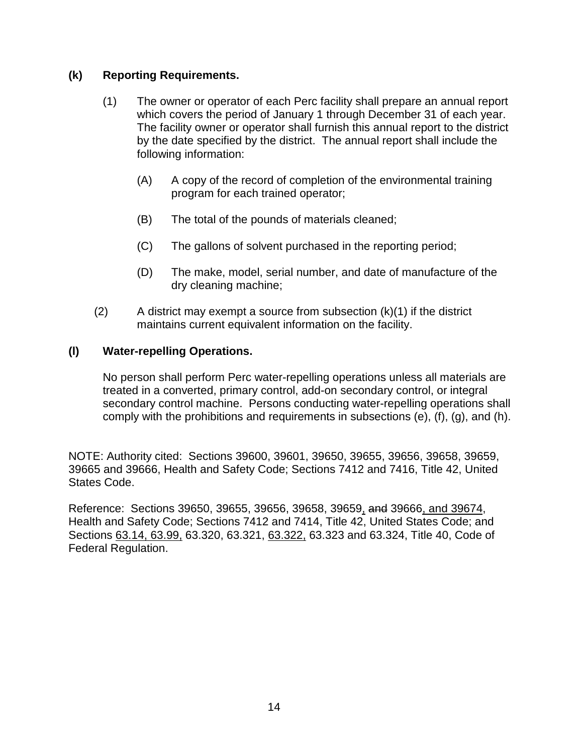### **(k) Reporting Requirements.**

- (1) The owner or operator of each Perc facility shall prepare an annual report which covers the period of January 1 through December 31 of each year. The facility owner or operator shall furnish this annual report to the district by the date specified by the district. The annual report shall include the following information:
	- (A) A copy of the record of completion of the environmental training program for each trained operator;
	- (B) The total of the pounds of materials cleaned;
	- (C) The gallons of solvent purchased in the reporting period;
	- (D) The make, model, serial number, and date of manufacture of the dry cleaning machine;
- $(2)$  A district may exempt a source from subsection  $(k)(1)$  if the district maintains current equivalent information on the facility.

### **(l) Water-repelling Operations.**

No person shall perform Perc water-repelling operations unless all materials are treated in a converted, primary control, add-on secondary control, or integral secondary control machine. Persons conducting water-repelling operations shall comply with the prohibitions and requirements in subsections (e), (f), (g), and (h).

NOTE: Authority cited: Sections 39600, 39601, 39650, 39655, 39656, 39658, 39659, 39665 and 39666, Health and Safety Code; Sections 7412 and 7416, Title 42, United States Code.

Reference: Sections 39650, 39655, 39656, 39658, 39659, and 39666, and 39674, Health and Safety Code; Sections 7412 and 7414, Title 42, United States Code; and Sections 63.14, 63.99, 63.320, 63.321, 63.322, 63.323 and 63.324, Title 40, Code of Federal Regulation.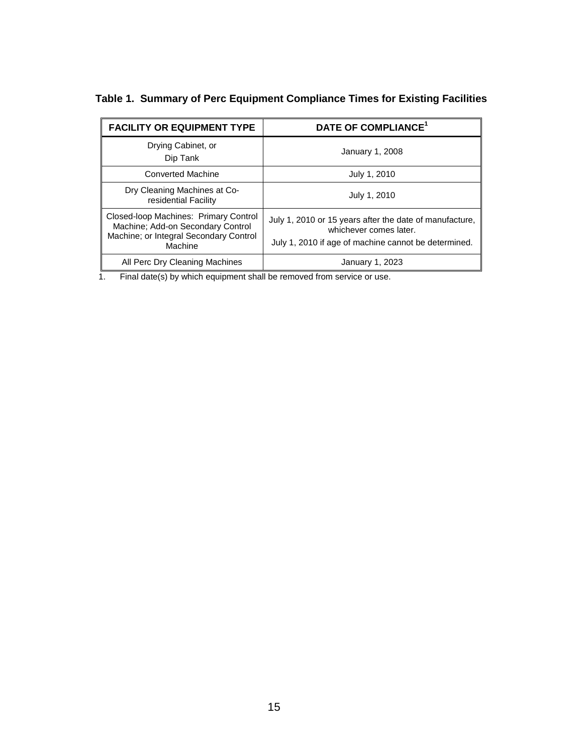| <b>FACILITY OR EQUIPMENT TYPE</b>                                                                                               | DATE OF COMPLIANCE <sup>1</sup>                                                                                                           |  |
|---------------------------------------------------------------------------------------------------------------------------------|-------------------------------------------------------------------------------------------------------------------------------------------|--|
| Drying Cabinet, or<br>Dip Tank                                                                                                  | January 1, 2008                                                                                                                           |  |
| <b>Converted Machine</b>                                                                                                        | July 1, 2010                                                                                                                              |  |
| Dry Cleaning Machines at Co-<br>residential Facility                                                                            | July 1, 2010                                                                                                                              |  |
| Closed-loop Machines: Primary Control<br>Machine; Add-on Secondary Control<br>Machine; or Integral Secondary Control<br>Machine | July 1, 2010 or 15 years after the date of manufacture,<br>whichever comes later.<br>July 1, 2010 if age of machine cannot be determined. |  |
| All Perc Dry Cleaning Machines                                                                                                  | January 1, 2023                                                                                                                           |  |

**Table 1. Summary of Perc Equipment Compliance Times for Existing Facilities** 

1. Final date(s) by which equipment shall be removed from service or use.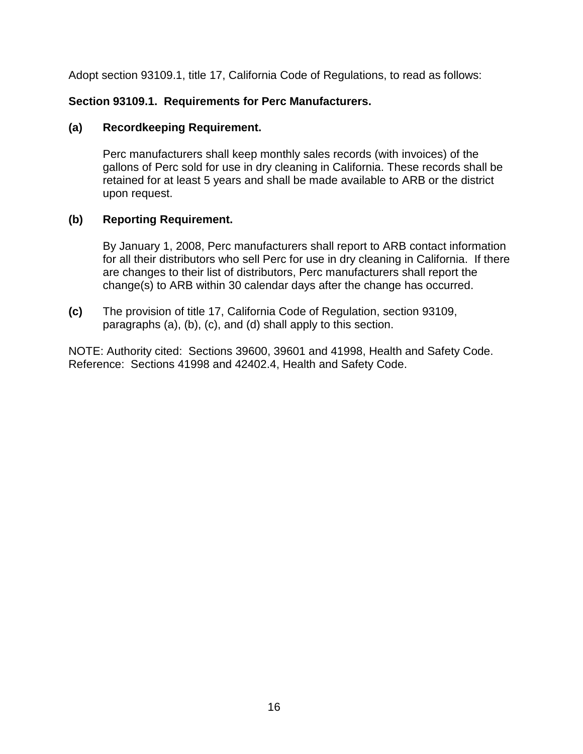Adopt section 93109.1, title 17, California Code of Regulations, to read as follows:

# **Section 93109.1. Requirements for Perc Manufacturers.**

### **(a) Recordkeeping Requirement.**

Perc manufacturers shall keep monthly sales records (with invoices) of the gallons of Perc sold for use in dry cleaning in California. These records shall be retained for at least 5 years and shall be made available to ARB or the district upon request.

# **(b) Reporting Requirement.**

 By January 1, 2008, Perc manufacturers shall report to ARB contact information for all their distributors who sell Perc for use in dry cleaning in California. If there are changes to their list of distributors, Perc manufacturers shall report the change(s) to ARB within 30 calendar days after the change has occurred.

**(c)** The provision of title 17, California Code of Regulation, section 93109, paragraphs (a), (b), (c), and (d) shall apply to this section.

NOTE: Authority cited: Sections 39600, 39601 and 41998, Health and Safety Code. Reference: Sections 41998 and 42402.4, Health and Safety Code.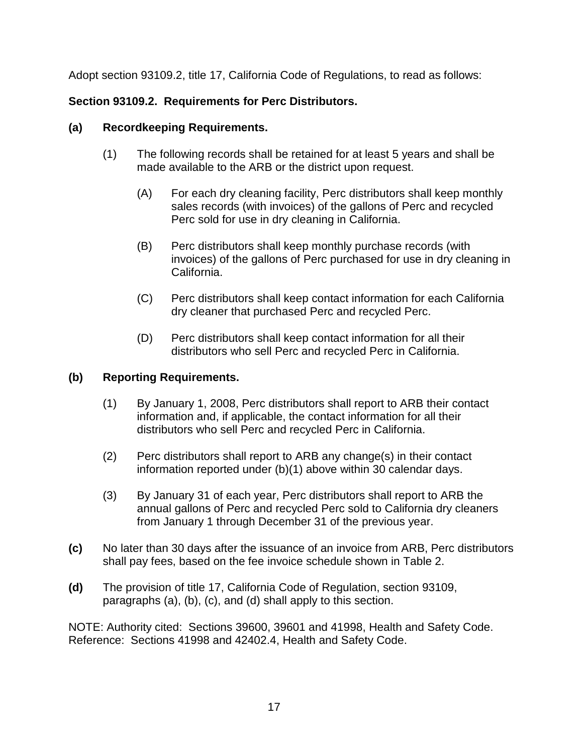Adopt section 93109.2, title 17, California Code of Regulations, to read as follows:

# **Section 93109.2. Requirements for Perc Distributors.**

# **(a) Recordkeeping Requirements.**

- (1) The following records shall be retained for at least 5 years and shall be made available to the ARB or the district upon request.
	- (A) For each dry cleaning facility, Perc distributors shall keep monthly sales records (with invoices) of the gallons of Perc and recycled Perc sold for use in dry cleaning in California.
	- (B) Perc distributors shall keep monthly purchase records (with invoices) of the gallons of Perc purchased for use in dry cleaning in California.
	- (C) Perc distributors shall keep contact information for each California dry cleaner that purchased Perc and recycled Perc.
	- (D) Perc distributors shall keep contact information for all their distributors who sell Perc and recycled Perc in California.

# **(b) Reporting Requirements.**

- (1) By January 1, 2008, Perc distributors shall report to ARB their contact information and, if applicable, the contact information for all their distributors who sell Perc and recycled Perc in California.
- (2) Perc distributors shall report to ARB any change(s) in their contact information reported under (b)(1) above within 30 calendar days.
- (3) By January 31 of each year, Perc distributors shall report to ARB the annual gallons of Perc and recycled Perc sold to California dry cleaners from January 1 through December 31 of the previous year.
- **(c)** No later than 30 days after the issuance of an invoice from ARB, Perc distributors shall pay fees, based on the fee invoice schedule shown in Table 2.
- **(d)** The provision of title 17, California Code of Regulation, section 93109, paragraphs (a), (b), (c), and (d) shall apply to this section.

NOTE: Authority cited: Sections 39600, 39601 and 41998, Health and Safety Code. Reference: Sections 41998 and 42402.4, Health and Safety Code.